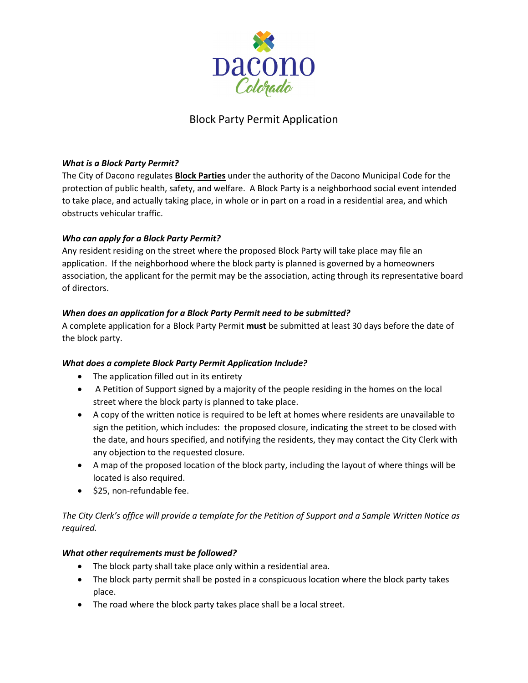

# Block Party Permit Application

# *What is a Block Party Permit?*

The City of Dacono regulates **Block Parties** under the authority of the Dacono Municipal Code for the protection of public health, safety, and welfare. A Block Party is a neighborhood social event intended to take place, and actually taking place, in whole or in part on a road in a residential area, and which obstructs vehicular traffic.

# *Who can apply for a Block Party Permit?*

Any resident residing on the street where the proposed Block Party will take place may file an application. If the neighborhood where the block party is planned is governed by a homeowners association, the applicant for the permit may be the association, acting through its representative board of directors.

### *When does an application for a Block Party Permit need to be submitted?*

A complete application for a Block Party Permit **must** be submitted at least 30 days before the date of the block party.

#### *What does a complete Block Party Permit Application Include?*

- The application filled out in its entirety
- A Petition of Support signed by a majority of the people residing in the homes on the local street where the block party is planned to take place.
- A copy of the written notice is required to be left at homes where residents are unavailable to sign the petition, which includes: the proposed closure, indicating the street to be closed with the date, and hours specified, and notifying the residents, they may contact the City Clerk with any objection to the requested closure.
- A map of the proposed location of the block party, including the layout of where things will be located is also required.
- \$25, non-refundable fee.

*The City Clerk's office will provide a template for the Petition of Support and a Sample Written Notice as required.* 

#### *What other requirements must be followed?*

- The block party shall take place only within a residential area.
- The block party permit shall be posted in a conspicuous location where the block party takes place.
- The road where the block party takes place shall be a local street.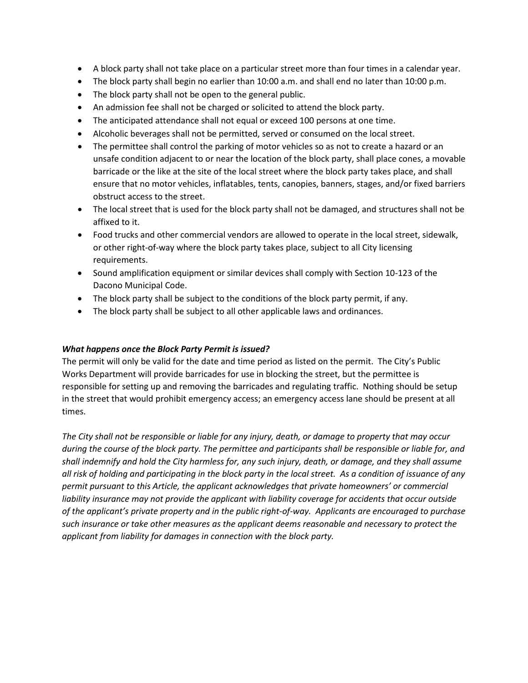- A block party shall not take place on a particular street more than four times in a calendar year.
- The block party shall begin no earlier than 10:00 a.m. and shall end no later than 10:00 p.m.
- The block party shall not be open to the general public.
- An admission fee shall not be charged or solicited to attend the block party.
- The anticipated attendance shall not equal or exceed 100 persons at one time.
- Alcoholic beverages shall not be permitted, served or consumed on the local street.
- The permittee shall control the parking of motor vehicles so as not to create a hazard or an unsafe condition adjacent to or near the location of the block party, shall place cones, a movable barricade or the like at the site of the local street where the block party takes place, and shall ensure that no motor vehicles, inflatables, tents, canopies, banners, stages, and/or fixed barriers obstruct access to the street.
- The local street that is used for the block party shall not be damaged, and structures shall not be affixed to it.
- Food trucks and other commercial vendors are allowed to operate in the local street, sidewalk, or other right-of-way where the block party takes place, subject to all City licensing requirements.
- Sound amplification equipment or similar devices shall comply with Section 10-123 of the Dacono Municipal Code.
- The block party shall be subject to the conditions of the block party permit, if any.
- The block party shall be subject to all other applicable laws and ordinances.

# *What happens once the Block Party Permit is issued?*

The permit will only be valid for the date and time period as listed on the permit. The City's Public Works Department will provide barricades for use in blocking the street, but the permittee is responsible for setting up and removing the barricades and regulating traffic. Nothing should be setup in the street that would prohibit emergency access; an emergency access lane should be present at all times.

*The City shall not be responsible or liable for any injury, death, or damage to property that may occur during the course of the block party. The permittee and participants shall be responsible or liable for, and shall indemnify and hold the City harmless for, any such injury, death, or damage, and they shall assume all risk of holding and participating in the block party in the local street. As a condition of issuance of any permit pursuant to this Article, the applicant acknowledges that private homeowners' or commercial liability insurance may not provide the applicant with liability coverage for accidents that occur outside of the applicant's private property and in the public right-of-way. Applicants are encouraged to purchase such insurance or take other measures as the applicant deems reasonable and necessary to protect the applicant from liability for damages in connection with the block party.*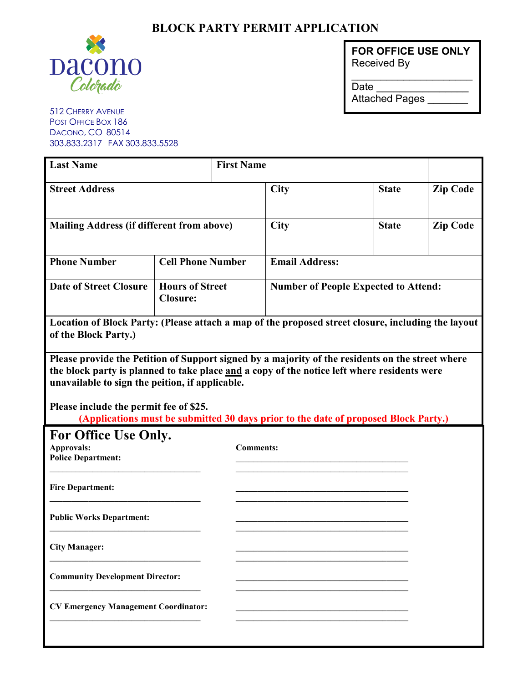# **BLOCK PARTY PERMIT APPLICATION**



**FOR OFFICE USE ONLY** Received By

 $\overline{\phantom{a}}$  , where  $\overline{\phantom{a}}$  , where  $\overline{\phantom{a}}$  , where  $\overline{\phantom{a}}$  ,  $\overline{\phantom{a}}$  ,  $\overline{\phantom{a}}$  ,  $\overline{\phantom{a}}$  ,  $\overline{\phantom{a}}$  ,  $\overline{\phantom{a}}$  ,  $\overline{\phantom{a}}$  ,  $\overline{\phantom{a}}$  ,  $\overline{\phantom{a}}$  ,  $\overline{\phantom{a}}$  ,  $\overline{\phantom{a}}$  ,  $\overline{\phantom$ Date \_\_\_\_\_\_\_\_\_\_\_\_\_\_\_\_\_\_\_\_ Attached Pages \_\_\_\_\_\_\_

512 CHERRY AVENUE POST OFFICE BOX 186 DACONO, CO 80514 303.833.2317 FAX 303.833.5528

| <b>Last Name</b>                                                                                                                                                                                                                                   |                                           | <b>First Name</b> |                                             |                                                                                     |                 |  |
|----------------------------------------------------------------------------------------------------------------------------------------------------------------------------------------------------------------------------------------------------|-------------------------------------------|-------------------|---------------------------------------------|-------------------------------------------------------------------------------------|-----------------|--|
| <b>Street Address</b>                                                                                                                                                                                                                              |                                           |                   | <b>City</b>                                 | <b>State</b>                                                                        | <b>Zip Code</b> |  |
| <b>Mailing Address (if different from above)</b>                                                                                                                                                                                                   |                                           |                   | City                                        | <b>State</b>                                                                        | <b>Zip Code</b> |  |
| <b>Phone Number</b>                                                                                                                                                                                                                                | <b>Cell Phone Number</b>                  |                   | <b>Email Address:</b>                       |                                                                                     |                 |  |
| <b>Date of Street Closure</b>                                                                                                                                                                                                                      | <b>Hours of Street</b><br><b>Closure:</b> |                   | <b>Number of People Expected to Attend:</b> |                                                                                     |                 |  |
| Location of Block Party: (Please attach a map of the proposed street closure, including the layout<br>of the Block Party.)                                                                                                                         |                                           |                   |                                             |                                                                                     |                 |  |
| Please provide the Petition of Support signed by a majority of the residents on the street where<br>the block party is planned to take place and a copy of the notice left where residents were<br>unavailable to sign the peition, if applicable. |                                           |                   |                                             |                                                                                     |                 |  |
| Please include the permit fee of \$25.                                                                                                                                                                                                             |                                           |                   |                                             | (Applications must be submitted 30 days prior to the date of proposed Block Party.) |                 |  |
| For Office Use Only.<br>Approvals:<br><b>Police Department:</b>                                                                                                                                                                                    |                                           | <b>Comments:</b>  |                                             |                                                                                     |                 |  |
| <b>Fire Department:</b>                                                                                                                                                                                                                            |                                           |                   |                                             |                                                                                     |                 |  |
| <b>Public Works Department:</b>                                                                                                                                                                                                                    |                                           |                   |                                             |                                                                                     |                 |  |
| <b>City Manager:</b>                                                                                                                                                                                                                               |                                           |                   |                                             |                                                                                     |                 |  |
| <b>Community Development Director:</b>                                                                                                                                                                                                             |                                           |                   |                                             |                                                                                     |                 |  |
| <b>CV Emergency Management Coordinator:</b>                                                                                                                                                                                                        |                                           |                   |                                             |                                                                                     |                 |  |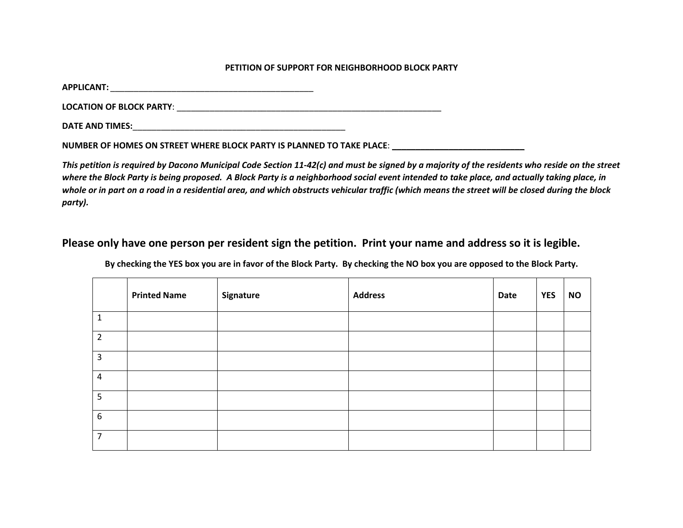#### **PETITION OF SUPPORT FOR NEIGHBORHOOD BLOCK PARTY**

**APPLICANT:** *\_\_\_\_\_\_\_\_\_\_\_\_\_\_\_\_\_\_\_\_\_\_\_\_\_\_\_\_\_\_\_\_\_\_\_\_\_\_\_\_\_\_\_*

**LOCATION OF BLOCK PARTY**: \_\_\_\_\_\_\_\_\_\_\_\_\_\_\_\_\_\_\_\_\_\_\_\_\_\_\_\_\_\_\_\_\_\_\_\_\_\_\_\_\_\_\_\_\_\_\_\_\_\_\_\_\_\_\_\_

**DATE AND TIMES:** 

**NUMBER OF HOMES ON STREET WHERE BLOCK PARTY IS PLANNED TO TAKE PLACE**: **\_\_\_\_\_\_\_\_\_\_\_\_\_\_\_\_\_\_\_\_\_\_\_\_\_\_\_\_**

*This petition is required by Dacono Municipal Code Section 11-42(c) and must be signed by a majority of the residents who reside on the street where the Block Party is being proposed. A Block Party is a neighborhood social event intended to take place, and actually taking place, in whole or in part on a road in a residential area, and which obstructs vehicular traffic (which means the street will be closed during the block party).*

**Please only have one person per resident sign the petition. Print your name and address so it is legible.**

**By checking the YES box you are in favor of the Block Party. By checking the NO box you are opposed to the Block Party.**

|                 | <b>Printed Name</b> | Signature | <b>Address</b> | Date | <b>YES</b> | <b>NO</b> |
|-----------------|---------------------|-----------|----------------|------|------------|-----------|
| $\mathbf{1}$    |                     |           |                |      |            |           |
| $\overline{2}$  |                     |           |                |      |            |           |
| $\overline{3}$  |                     |           |                |      |            |           |
| $\overline{a}$  |                     |           |                |      |            |           |
| $5\phantom{.0}$ |                     |           |                |      |            |           |
| 6               |                     |           |                |      |            |           |
| $\overline{7}$  |                     |           |                |      |            |           |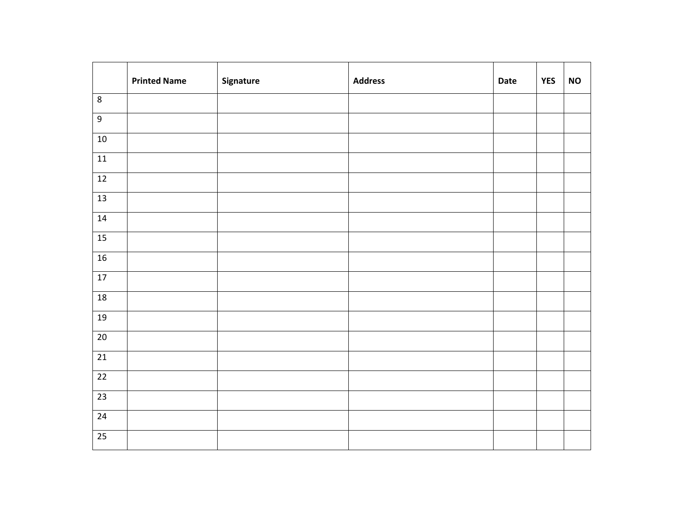|                 | <b>Printed Name</b> | Signature | <b>Address</b> | Date | <b>YES</b> | $\mathsf{NO}$ |
|-----------------|---------------------|-----------|----------------|------|------------|---------------|
| $\infty$        |                     |           |                |      |            |               |
| $\overline{9}$  |                     |           |                |      |            |               |
| $10$            |                     |           |                |      |            |               |
| $11$            |                     |           |                |      |            |               |
| 12              |                     |           |                |      |            |               |
| $\overline{13}$ |                     |           |                |      |            |               |
| 14              |                     |           |                |      |            |               |
| $\overline{15}$ |                     |           |                |      |            |               |
| $16$            |                     |           |                |      |            |               |
| $\overline{17}$ |                     |           |                |      |            |               |
| $18\,$          |                     |           |                |      |            |               |
| 19              |                     |           |                |      |            |               |
| $\overline{20}$ |                     |           |                |      |            |               |
| $\overline{21}$ |                     |           |                |      |            |               |
| $\overline{22}$ |                     |           |                |      |            |               |
| $\overline{23}$ |                     |           |                |      |            |               |
| $24\,$          |                     |           |                |      |            |               |
| $\overline{25}$ |                     |           |                |      |            |               |